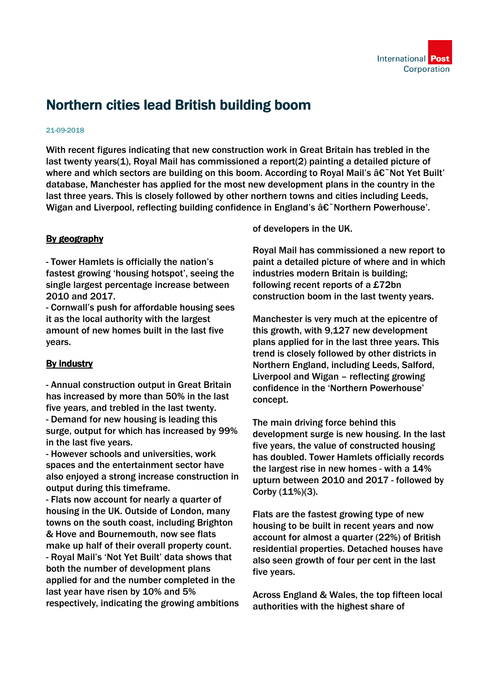

## Northern cities lead British building boom

## 21-09-2018

With recent figures indicating that new construction work in Great Britain has trebled in the last twenty years(1), Royal Mail has commissioned a report(2) painting a detailed picture of where and which sectors are building on this boom. According to Royal Mail's  $\hat{a}\hat{\epsilon}^{\sim}$ Not Yet Built' database, Manchester has applied for the most new development plans in the country in the last three years. This is closely followed by other northern towns and cities including Leeds, Wigan and Liverpool, reflecting building confidence in England's  $\hat{a}\hat{\epsilon}$  Northern Powerhouse'.

## By geography

- Tower Hamlets is officially the nation's fastest growing 'housing hotspot', seeing the single largest percentage increase between 2010 and 2017.

- Cornwall's push for affordable housing sees it as the local authority with the largest amount of new homes built in the last five years.

## By industry

- Annual construction output in Great Britain has increased by more than 50% in the last five years, and trebled in the last twenty. - Demand for new housing is leading this surge, output for which has increased by 99% in the last five years.

- However schools and universities, work spaces and the entertainment sector have also enjoyed a strong increase construction in output during this timeframe.

- Flats now account for nearly a quarter of housing in the UK. Outside of London, many towns on the south coast, including Brighton & Hove and Bournemouth, now see flats make up half of their overall property count. - Royal Mail's 'Not Yet Built' data shows that both the number of development plans applied for and the number completed in the last year have risen by 10% and 5% respectively, indicating the growing ambitions of developers in the UK.

Royal Mail has commissioned a new report to paint a detailed picture of where and in which industries modern Britain is building; following recent reports of a £72bn construction boom in the last twenty years.

Manchester is very much at the epicentre of this growth, with 9,127 new development plans applied for in the last three years. This trend is closely followed by other districts in Northern England, including Leeds, Salford, Liverpool and Wigan – reflecting growing confidence in the 'Northern Powerhouse' concept.

The main driving force behind this development surge is new housing. In the last five years, the value of constructed housing has doubled. Tower Hamlets officially records the largest rise in new homes - with a 14% upturn between 2010 and 2017 - followed by Corby (11%)(3).

Flats are the fastest growing type of new housing to be built in recent years and now account for almost a quarter (22%) of British residential properties. Detached houses have also seen growth of four per cent in the last five years.

Across England & Wales, the top fifteen local authorities with the highest share of